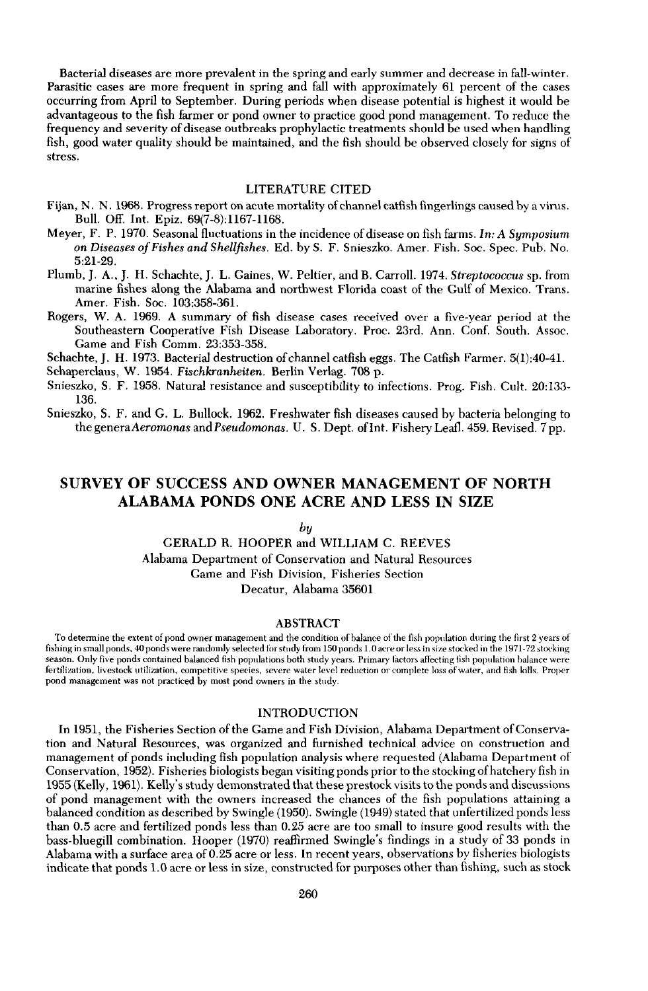Bacterial diseases are more prevalent in the spring and early summer and decrease in fall-winter. Parasitic cases are more frequent in spring and fall with approximately 61 percent of the cases occurring from April to September. During periods when disease potential is highest it would be advantageous to the fish farmer or pond owner to practice good pond management. To reduce the frequency and severity of disease outbreaks prophylactic treatments should be used when handling fish, good water quality should be maintained, and the fish should be observed closely for signs of stress.

# LITERATURE CITED

- Fijan, N. N. 1968. Progress report on acute mortality of channel catfish fingerlings caused by a virus. Bull. Off. Int. Epiz. 69(7-8):1167-1168.
- Meyer, F. P. 1970. Seasonal fluctuations in the incidence of disease on fish farms. *In:* A *Symposium on Diseases o/Fishes and Shellfishes.* Ed. by S. F. Snieszko. Amer. Fish. Soc. Spec. Pub. No. 5:21-29.
- Plumb, J. A., J. H. Schachte, J. L. Gaines, W. Peltier, and B. Carroll. 1974. *Streptococcus* sp. from marine fishes along the Alabama and northwest Florida coast of the Gulf of Mexico. Trans. Amer. Fish. Soc. 103:358-361.
- Rogers, W. A. 1969. A summary of fish disease cases received over a five-year period at the Southeastern Cooperative Fish Disease Laboratory. Proc. 23rd. Ann. Conf. South. Assoc. Game and Fish Comm. 23:353-358.

Schachte, J. H. 1973. Bacterial destruction of channel catfish eggs. The Catfish Farmer. 5(1):40-41.

Schaperclaus, W. 1954. *Fischkranheiten.* Berlin Verlag. 708 p.

- Snieszko, S. F. 1958. Natural resistance and susceptibility to infections. Prog. Fish. Cult. 20:133- 136.
- Snieszko, S. F. and G. L. Bullock. 1962. Freshwater fish diseases caused by bacteria belonging to the generaAeromonas and *Pseudomonas.* U. S. Dept. ofInt. Fishery Leafl. 459. Revised. 7 pp.

# SURVEY OF SUCCESS AND OWNER MANAGEMENT OF NORTH ALABAMA PONDS ONE ACRE AND LESS IN SIZE

### *by*

GERALD R. HOOPER and WILLIAM C. REEVES Alabama Department of Conservation and Natural Resources Game and Fish Division, Fisheries Section Decatur, Alabama 35601

#### ABSTRACT

To determine the extent of pond owner management and the condition of balance of the fish population during the first 2 years of fishing in small ponds, 40 ponds were randomly selected for study from ISO ponds 1.0 acre or less in size stocked in the 1971-72 stocking season. Only five ponds contained balanced Hsh populations both study years. Primary factors aHecting fish population balance were fertilization, livestock utilization, competitive species, severe water level reduction or complete loss of water, and fish kills. Proper pond management was not practiced by most pond owners in the study.

# INTRODUCTION

In 1951, the Fisheries Section of the Game and Fish Division, Alabama Department of Conservation and Natural Resources, was organized and furnished technical advice on construction and management of ponds including fish population analysis where requested (Alabama Department of Conservation, 1952). Fisheries biologists began visiting ponds prior to the stocking ofhatchery fish in 1955 (Kelly, 1961). Kelly's study demonstrated that these prestock visits to the ponds and discussions of pond management with the owners increased the chances of the fish populations attaining a balanced condition as described by Swingle (1950). Swingle (1949) stated that unfertilized ponds less than 0.5 acre and fertilized ponds less than 0.25 acre are too small to insure good results with the bass-bluegill combination. Hooper (1970) reaffirmed Swingle's findings in a study of 33 ponds in Alabama with a surface area of 0.25 acre or less. In recent years, observations by fisheries biologists indicate that ponds 1.0 acre or less in size, constructed for purposes other than fishing, such as stock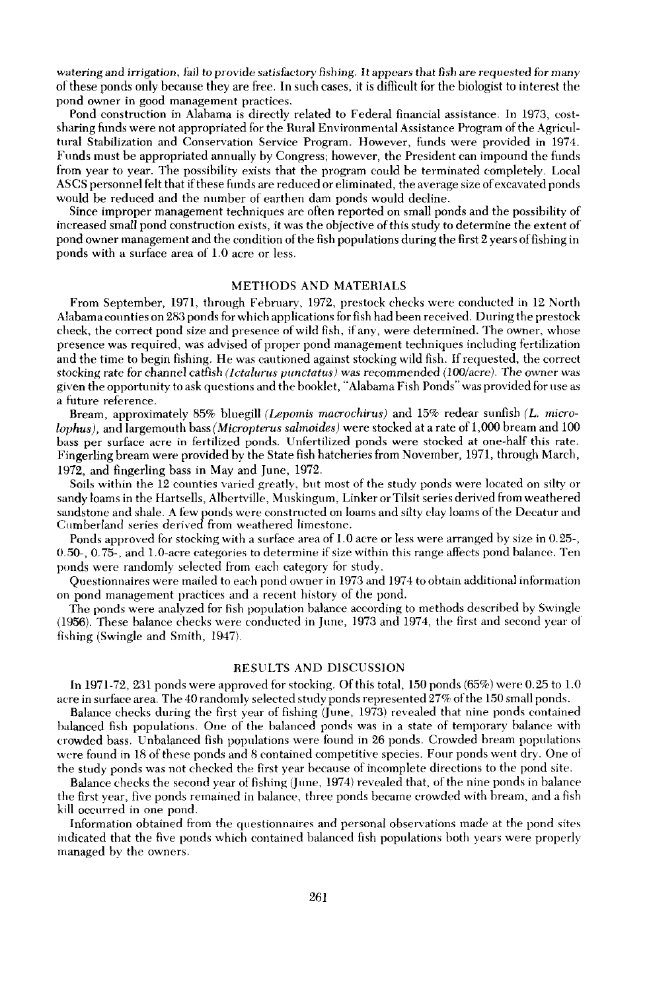watering and irrigation, fail to provide satisfactory fishing. It appears that fish are requested for many ofthese ponds only because they are free. In such cases, it is difficult for the biologist to interest the pond owner in good management practices.

Pond construction in Alahama is directly related to Federal financial assistance. In 1973, costsharing funds were not appropriated for the Rural Environmental Assistance Program ofthe Agricultural Stabilization and Conservation Service Program. However, funds were provided in 1974. Funds must be appropriated annually by Congress; however, the President can impound the funds from year to year. The possibility exists that the program could be terminated completely. Local ASCS personnel felt that ifthese funds are reduced or eliminated, the average size ofexcavated ponds would be reduced and the number of earthen dam ponds would decline.

Since improper management techniques are often reported on small ponds and the possibility of increased small pond construction exists, it was the objective ofthis study to determine the extent of pond owner management and the condition of the fish populations during the first 2 years of fishing in ponds with a surface area of 1.0 acre or less.

# METHODS AND MATERIALS

From September, 1971, through February, 1972, prestock checks were conducted in 12 North Alabamacounties on 283 ponds for which applications for fish had been received. During the prestock check, the correct pond size and presence ofwild fish, ifany, were determined. The owner, whose presence was required, was advised of proper pond management techniques including fertilization and the time to begin fishing. He was cautioned against stocking wild fish. Ifrequested, the correct stocking rate for channel catfish *(letalunts punetatus!* was recommended (100/acre). The owner was given the opportunity to ask questions and the booklet, "Alabama Fish Ponds" was provided for use as a future reference.

Bream, approximately 85% bluegill *(Lepomis macroehirus)* and 15% redear sunfish (L. *microlophus),* and largemouth bass *(Micropterus salmoides)* were stocked at a rate of 1,000 bream and 100 bass per surface acre in fertilized ponds. Unfertilized ponds were stocked at one-half this rate. Fingerling bream were provided by the State fish hatcheries from November, 1971, through March, 1972, and fingerling bass in May and June, 1972.

Soils within the 12 counties varied greatly, but most of the study ponds were located on silty or sandy loams in the Hartsells, Albertville, Muskingum, Linker orTilsit series derived from weathered sandstone and shale. A few ponds were constructed on loams and silty clay loams ofthe Decatur and Cumberland series derived from weathered limestone.

Ponds approved for stocking with a surface area of 1.0 acre or less were arranged by size in 0.25-, 0.50-, 0.75-, and 1.0-acre categories to determine if size within this range affects pond balance. Ten ponds were randomly selected from each category for study.

Questionnaires were mailed to each pond owner in 1973 and 1974 to obtain additional information on pond management practices and a recent history of the pond.

The ponds were analyzed for fish population balance according to methods described by Swingle (1956). These balance checks were conducted in June, 1973 and 1974, the first and second year of fishing (Swingle and Smith, 1947).

#### RESULTS AND DISCUSSION

In 1971-72, 231 ponds were approved for stocking. Of this total, 150 ponds  $(65%)$  were 0.25 to 1.0 acre in surface area. The 40 randomly selected study ponds represented 27% ofthe 150 small ponds.

Balance checks during the first year of fishing (June, 1973) revealed that nine ponds contained balanced fish populations. One of the balanced ponds was in a state of temporary balance with crowded bass. Unbahmced fish populations were found in 26 ponds. Crowded bream populations were found in 18 of these ponds and 8 contained competitive species. Four ponds went dry. One of the study ponds was not checked the first year because of incomplete directions to the pond site.

Balance checks the second year of fishing (June, 1974) revealed that, of the nine ponds in balance the first year, five ponds remained in balance, three ponds became crowded with bream, and a fish kill occurred in one pond.

Information obtained from the questionnaires and personal observations made at the pond sites indicated that the flve ponds which contained balanced fish populations both years were properly managed by the owners.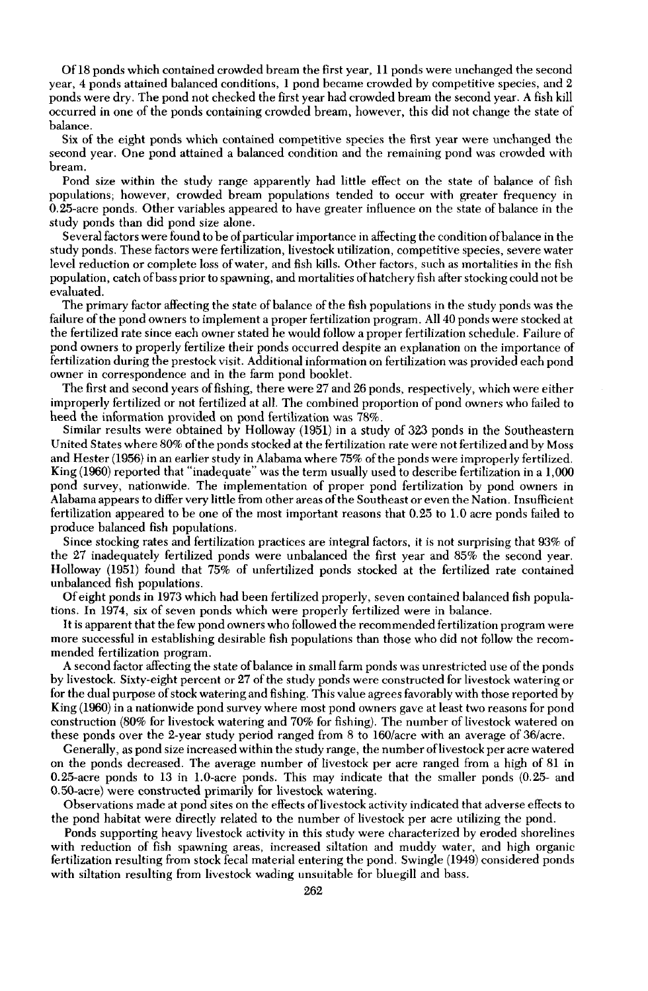Of 18 ponds which contained crowded bream the first year, 11 ponds were unchanged the second year, 4 ponds attained balanced conditions, 1 pond became crowded by competitive species, and 2 ponds were dry. The pond not checked the first year had crowded bream the second year. A fish kill occurred in one of the ponds containing crowded bream, however, this did not change the state of balance.

Six of the eight ponds which contained competitive species the first year were unchanged the second year. One pond attained a balanced condition and the remaining pond was crowded with bream.

Pond size within the study range apparently had little effect on the state of balance of fish populations; however, crowded bream populations tended to occur with greater frequency in 0.25-acre ponds. Other variables appeared to have greater influence on the state of balance in the study ponds than did pond size alone.

Several factors were found to be of particular importance in affecting the condition of balance in the study ponds. These factors were fertilization, livestock utilization, competitive species, severe water level reduction or complete loss ofwater, and fish kills. Other factors, such as mortalities in the fish population, catch ofbass prior to spawning, and mortalities ofhatchery fish after stocking could not be evaluated.

The primary factor affecting the state of balance of the fish populations in the study ponds was the failure of the pond owners to implement a proper fertilization program. All 40 ponds were stocked at the fertilized rate since each owner stated he would follow a proper fertilization schedule. Failure of pond owners to properly fertilize their ponds occurred despite an explanation on the importance of fertilization during the prestock visit. Additional information on fertilization was provided each pond owner in correspondence and in the farm pond booklet.

The first and second years offishing, there were 27 and 26 ponds, respectively, which were either improperly fertilized or not fertilized at all. The combined proportion of pond owners who failed to heed the information provided on pond fertilization was 78%.

Similar results were obtained by Holloway (1951) in a study of 323 ponds in the Southeastern United States where 80% ofthe ponds stocked at the fertilization rate were not fertilized and by Moss and Hester (1956) in an earlier study in Alabama where 75% of the ponds were improperly fertilized. King (1960) reported that "inadequate" was the term usually used to describe fertilization in a 1,000 pond survey, nationwide. The implementation of proper pond fertilization by pond owners in Alabama appears to differ very little from other areas ofthe Southeast or even the Nation. Insufficient fertilization appeared to be one of the most important reasons that 0.25 to 1.0 acre ponds failed to produce balanced fish populations.

Since stocking rates and fertilization practices are integral factors, it is not surprising that 93% of the 27 inadequately fertilized ponds were unbalanced the first year and 85% the second year. Holloway (1951) found that 75% of unfertilized ponds stocked at the fertilized rate contained unbalanced fish populations.

Ofeight ponds in 1973 which had been fertilized properly, seven contained balanced fish populations. **In** 1974, six of seven ponds which were properly fertilized were in balance.

It is apparent that the few pond owners who followed the recommended fertilization program were more successful in establishing desirable fish populations than those who did not follow the recommended fertilization program.

A second factor affecting the state ofbalance in small farm ponds was unrestricted use ofthe ponds by livestock. Sixty-eight percent or 27 ofthe study ponds were constructed for livestock watering or for the dual purpose of stock watering and fishing. This value agrees favorably with those reported by King (1960) in a nationwide pond survey where most pond owners gave at least two reasons for pond construction (80% for livestock watering and 70% for fishing). The number of livestock watered on these ponds over the 2-year study period ranged from 8 to 160/acre with an average of 36/acre.

Generally, as pond size increased within the study range, the number of livestock per acre watered on the ponds decreased. The average number of livestock per acre ranged from a high of 81 in 0.25-acre ponds to 13 in l.O-acre ponds. This may indicate that the smaller ponds (0.25- and O.SO-acre) were constructed primarily for livestock watering.

Observations made at pond sites on the effects of livestock activity indicated that adverse effects to the pond habitat were directly related to the number of livestock per acre utilizing the pond.

Ponds supporting heavy livestock activity in this study were characterized by eroded shorelines with reduction of fish spawning areas, increased siltation and muddy water, and high organic fertilization resulting from stock fecal material entering the pond. Swingle (1949) considered ponds with siltation resulting from livestock wading unsuitable for bluegill and bass.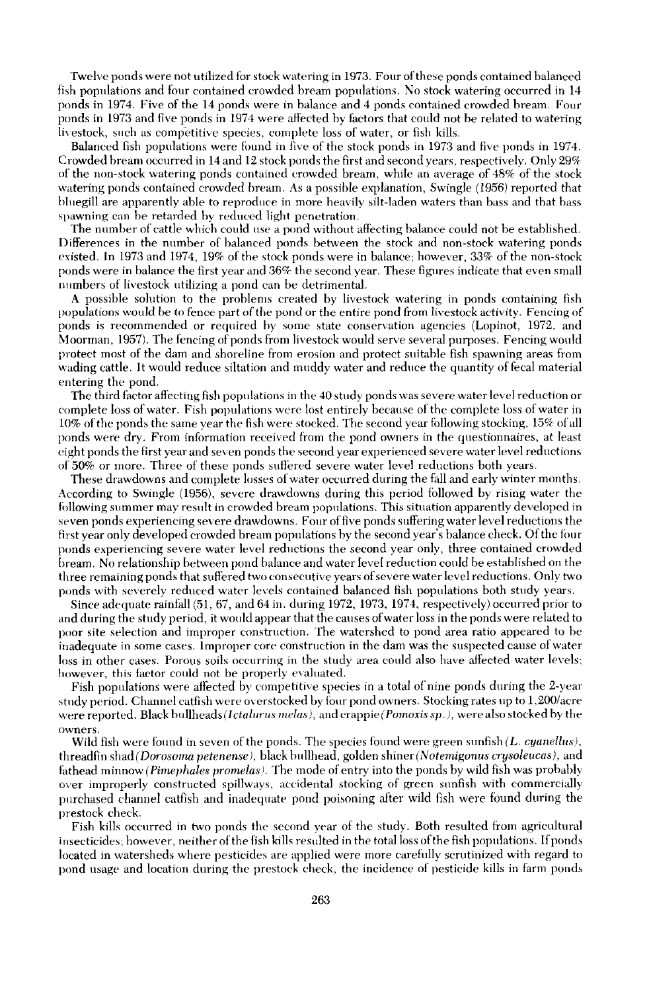Twelve ponds were not utilized for stock watering in 1973. Four of these ponds contained balanced fish populations and four contained crowded bream populations. No stock watering occurred in 14 ponds in 1974. Five of the 14 ponds were in balance and 4 ponds contained crowded bream. Four ponds in 1973 and five ponds in 1974 were affected by factors that could not be related to watering livestock, such as competitive species, complete loss of water, or fish kills.

Balanced fish populations were found in five of the stock ponds in 1973 and five ponds in 1974. Crowded bream occurred in 14 and 12 stock ponds the first and second years, respectively. Only 29% of the non-stock watering ponds contained crowded bream, while an average of 48% of the stock watering ponds contained crowded bream. As a possible explanation, SWingle (1956) reported that bluegill are apparently able to reproduce in more heavily silt-laden waters tban bass and that bass spawning can be retarded by reduced light penetration.

The number of cattle which could use a pond without affecting balance could not be established. Differences in the number of balanced ponds between the stock and non-stock watering ponds existed. In 1973 and 1974, 19% of the stock ponds were in balance; however, 33% of the non-stock ponds were in balance the first year and 36% the second year. These figures indicate that even small numbers of livestock utilizing a pond can be detrimental.

A possible solution to the problems created by livestock watering in ponds containing fish populations would be to fence part of the pond or the entire pond from livestock activity. Fencing of ponds is recommended or required by some state conservation agencies (Lopinot, 1972, and Moorman, 1957). The fencing of ponds from livestock would serve several purposes. Fencing would protect most of the dam and shoreline from erosion and protect suitable fish spawning areas from wading cattle. It would reduce siltation and muddy water and reduce the quantity of fecal material entering the pond.

The third factor affecting fish populations in the 40 study ponds was severe water level reduction or complete loss of water. Fish populations were lost entirely because of the complete loss of water in 10% of the ponds the same year the fish were stocked. The second year following stocking, 15% of all ponds were dry. From information received from the pond owners in the questionnaires, at least eight ponds the first year and seven ponds the second year experienced severe water level reductions of 50% or more. Three of these ponds suffered severe water level reductions both years.

These drawdowns and complete losses of water occurred during the fall and early winter months. According to Swingle (1956), severe drawdowns during this period followed by rising water the following summer may result in crowded bream populations. This situation apparently developed in seven ponds experiencing severe drawdowns. Four offive ponds suffering water level reductions the first year only developed crowded bream populations by the second year's balance check. Of the four ponds experiencing severe water level reductions the second year only, three contained crowded bream. No relationship hetween pond balance and water level reduction could be established on the three remaining ponds that suffered two consecutive years ofsevere water level reductions. Only two ponds with severely reduced water levels contained balanced fish populations both study years.

Since adequate rainfall (51, 67, and 64 in. during 1972, 1973, 1974, respectively) occurred prior to and during the study period, it would appear that the causes ofwater loss in the ponds were related to poor site selection and improper construction. The watershed to pond area ratio appeared to be inadequate in some cases. Improper core construction in the dam was the suspected cause of water loss in other cases. Porous soils occurring in the study area could also have affected water levels; however, this factor could not be properly evaluated.

Fish populations were aflected by competitive species in a total of nine ponds during the 2-year study period. Channel catfish were overstocked by four pond owners. Stocking rates up to 1,200/acre were reported. Black bullheads (Ictalurus melas), and crappie (Pomoxis sp.), were also stocked by the **o\vners.**

Wild fish were found in seven of the ponds. The species found were green sunfish (L. *cyanellus*), threadfin shad *(Dorosorna petenense* J, black Imllhead, golden shiner *(Notemigonus crysoleucas),* and h.thead minnow *(Pirnephales prornelas).* The mode of entry into the ponds by wild fish was probably over improperly constructed spillways, accidental stocking of green sunfish with commercially purchased channel catfish and inadequate pond poisoning afier wild Hsh were found during the prestock check.

Fish kills occurred in two ponds the second year of the study. Both resulted from agricultural insecticides; however, neither of the fish kills resulted in the total loss of the fish populations. If ponds located in watersheds where pesticides are applied were more careftilly scrutinized with regard to pond usage and location during the prestock check, the incidence of pesticide kills in farm ponds